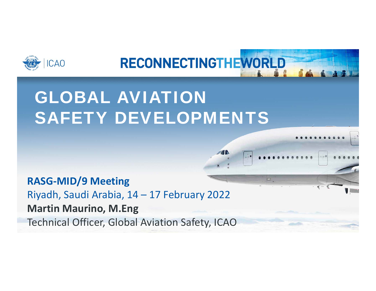

#### GLOBAL AVIATION SAFETY DEVELOPMENTS

#### **RASG‐MID/9 Meeting** Riyadh, Saudi Arabia, 14 – 17 February 2022 **Martin Maurino, M.Eng** Technical Officer, Global Aviation Safety, ICAO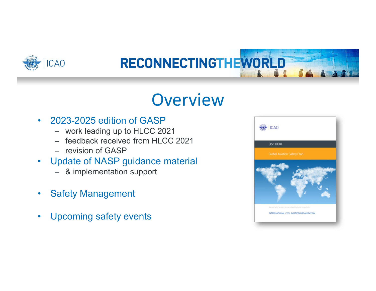

#### **Overview**

- $\bullet$  2023-2025 edition of GASP
	- work leading up to HLCC 2021
	- feedback received from HLCC 2021
	- revision of GASP
- $\bullet$  Update of NASP guidance material
	- & implementation support
- •Safety Management
- •Upcoming safety events

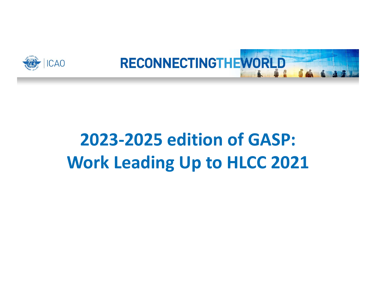



## **2023‐2025 edition of GASP: Work Leading Up to HLCC 2021**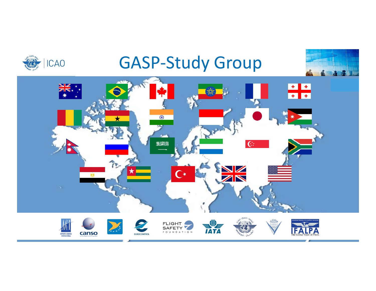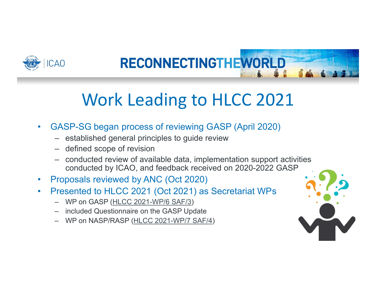



### Work Leading to HLCC 2021

- $\bullet$  GASP-SG began process of reviewing GASP (April 2020)
	- established general principles to guide review
	- defined scope of revision
	- conducted review of available data, implementation support activities conducted by ICAO, and feedback received on 2020-2022 GASP
- •Proposals reviewed by ANC (Oct 2020)
- $\bullet$  Presented to HLCC 2021 (Oct 2021) as Secretariat WPs
	- WP on GASP (<u>HLCC 2021-WP/6 SAF/3</u>)
	- included Questionnaire on the GASP Update
	- WP on NASP/RASP (<u>HLCC 2021-WP/7 SAF/4</u>)

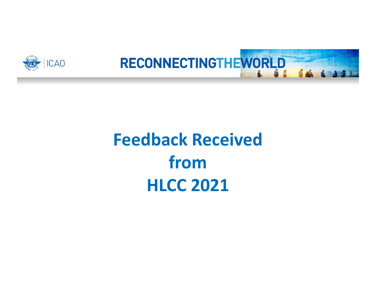



### **Feedback Received from HLCC 2021**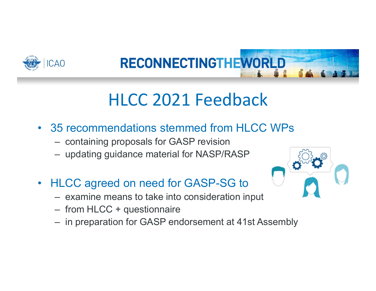



#### HLCC 2021 Feedback

- 35 recommendations stemmed from HLCC WPs
	- containing proposals for GASP revision
	- updating guidance material for NASP/RASP
- $\bullet$  HLCC agreed on need for GASP-SG to
	- examine means to take into consideration input
	- from HLCC + questionnaire
	- in preparation for GASP endorsement at 41st Assembly

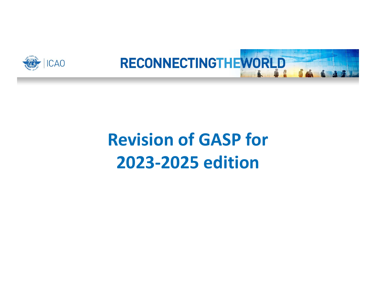



## **Revision of GASP for 2023‐2025 edition**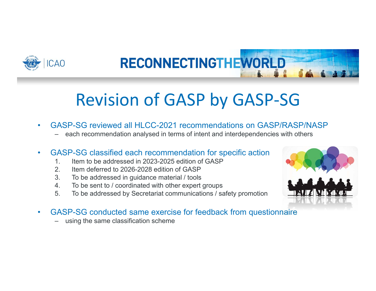



#### Revision of GASP by GASP‐SG

- • GASP-SG reviewed all HLCC-2021 recommendations on GASP/RASP/NASP
	- each recommendation analysed in terms of intent and interdependencies with others
- $\bullet$  GASP-SG classified each recommendation for specific action
	- 1. Item to be addressed in 2023-2025 edition of GASP
	- 2. Item deferred to 2026-2028 edition of GASP
	- 3. To be addressed in guidance material / tools
	- 4. To be sent to / coordinated with other expert groups
	- 5. To be addressed by Secretariat communications / safety promotion



- $\bullet$  GASP-SG conducted same exercise for feedback from questionnair e
	- using the same classification scheme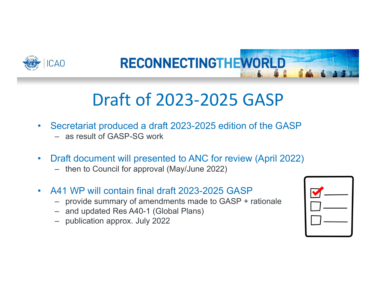



#### Draft of 2023‐2025 GASP

- $\bullet$  Secretariat produced a draft 2023-2025 edition of the GASP
	- as result of GASP-SG work
- $\bullet$  Draft document will presented to ANC for review (April 2022)
	- then to Council for approval (May/June 2022)
- $\bullet$  A41 WP will contain final draft 2023-2025 GASP
	- provide summary of amendments made to GASP + rationale
	- and updated Res A40-1 (Global Plans)
	- publication approx. July 2022

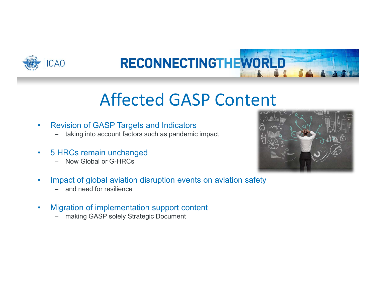



#### Affected GASP Content

- $\bullet$  Revision of GASP Targets and Indicators
	- taking into account factors such as pandemic impact
- • 5 HRCs remain unchanged
	- Now Global or G-HRCs



- • Impact of global aviation disruption events on aviation safety
	- –and need for resilience
- • Migration of implementation support content
	- making GASP solely Strategic Document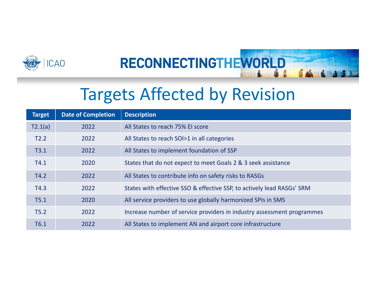

#### Targets Affected by Revision

| <b>Target</b> | <b>Date of Completion</b> | <b>Description</b>                                                     |
|---------------|---------------------------|------------------------------------------------------------------------|
| T2.1(a)       | 2022                      | All States to reach 75% El score                                       |
| T2.2          | 2022                      | All States to reach SOI>1 in all categories                            |
| T3.1          | 2022                      | All States to implement foundation of SSP                              |
| T4.1          | 2020                      | States that do not expect to meet Goals 2 & 3 seek assistance          |
| T4.2          | 2022                      | All States to contribute info on safety risks to RASGs                 |
| T4.3          | 2022                      | States with effective SSO & effective SSP, to actively lead RASGs' SRM |
| T5.1          | 2020                      | All service providers to use globally harmonized SPIs in SMS           |
| T5.2          | 2022                      | Increase number of service providers in industry assessment programmes |
| T6.1          | 2022                      | All States to implement AN and airport core infrastructure             |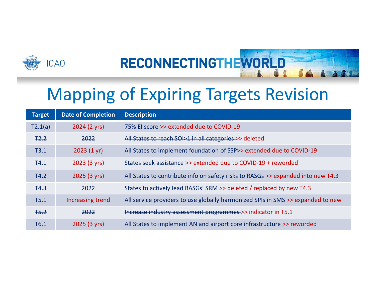

#### Mapping of Expiring Targets Revision

| <b>Target</b>    | <b>Date of Completion</b> | <b>Description</b>                                                               |
|------------------|---------------------------|----------------------------------------------------------------------------------|
| T2.1(a)          | 2024 (2 yrs)              | 75% El score >> extended due to COVID-19                                         |
| 72.2             | 2022                      | All States to reach SOI>1 in all categories >> deleted                           |
| T3.1             | $2023(1 \text{ yr})$      | All States to implement foundation of SSP>> extended due to COVID-19             |
| T4.1             | 2023 (3 yrs)              | States seek assistance >> extended due to COVID-19 + reworded                    |
| T4.2             | 2025 (3 yrs)              | All States to contribute info on safety risks to RASGs >> expanded into new T4.3 |
| 74.3             | 2022                      | States to actively lead RASGs' SRM->> deleted / replaced by new T4.3             |
| T5.1             | Increasing trend          | All service providers to use globally harmonized SPIs in SMS >> expanded to new  |
| 75.2             | 2022                      | Increase industry assessment programmes->> indicator in T5.1                     |
| T <sub>6.1</sub> | $2025(3 \text{ yrs})$     | All States to implement AN and airport core infrastructure >> reworded           |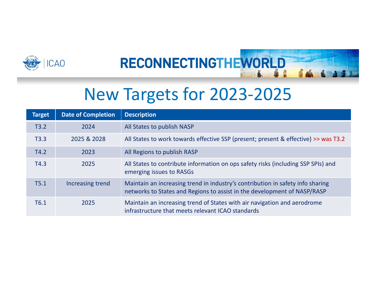

#### New Targets for 2023‐2025

| <b>Target</b>    | <b>Date of Completion</b> | <b>Description</b>                                                                                                                                         |
|------------------|---------------------------|------------------------------------------------------------------------------------------------------------------------------------------------------------|
| T3.2             | 2024                      | All States to publish NASP                                                                                                                                 |
| T3.3             | 2025 & 2028               | All States to work towards effective SSP (present; present & effective) >> was T3.2                                                                        |
| T4.2             | 2023                      | All Regions to publish RASP                                                                                                                                |
| T4.3             | 2025                      | All States to contribute information on ops safety risks (including SSP SPIs) and<br>emerging issues to RASGs                                              |
| T5.1             | Increasing trend          | Maintain an increasing trend in industry's contribution in safety info sharing<br>networks to States and Regions to assist in the development of NASP/RASP |
| T <sub>6.1</sub> | 2025                      | Maintain an increasing trend of States with air navigation and aerodrome<br>infrastructure that meets relevant ICAO standards                              |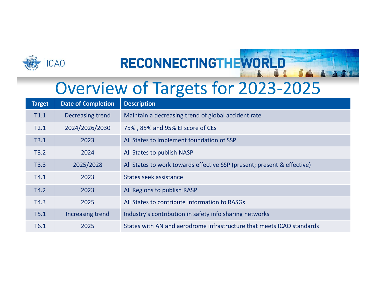

#### Overview of Targets for 2023‐2025

| <b>Target</b> | <b>Date of Completion</b> | <b>Description</b>                                                      |
|---------------|---------------------------|-------------------------------------------------------------------------|
| T1.1          | Decreasing trend          | Maintain a decreasing trend of global accident rate                     |
| T2.1          | 2024/2026/2030            | 75%, 85% and 95% El score of CEs                                        |
| T3.1          | 2023                      | All States to implement foundation of SSP                               |
| T3.2          | 2024                      | All States to publish NASP                                              |
| T3.3          | 2025/2028                 | All States to work towards effective SSP (present; present & effective) |
| T4.1          | 2023                      | States seek assistance                                                  |
| T4.2          | 2023                      | All Regions to publish RASP                                             |
| T4.3          | 2025                      | All States to contribute information to RASGs                           |
| T5.1          | Increasing trend          | Industry's contribution in safety info sharing networks                 |
| T6.1          | 2025                      | States with AN and aerodrome infrastructure that meets ICAO standards   |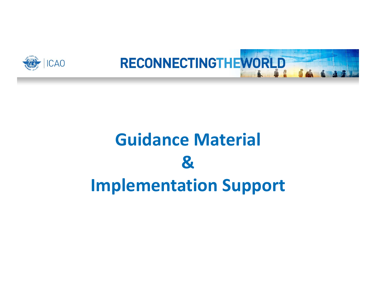



## **Guidance Material & Implementation Support**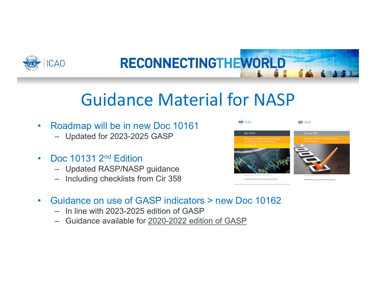



#### Guidance Material for NASP

- $\bullet$  Roadmap will be in new Doc 10161
	- Updated for 2023-2025 GASP
- $\bullet$ Doc 10131 2<sup>nd</sup> Edition
	- Updated RASP/NASP guidance
	- Including checklists from Cir 358



- $\bullet$  Guidance on use of GASP indicators > new Doc 10162
	- In line with 2023-2025 edition of GASP
	- Guidance available for 2020-2022 edition of GASP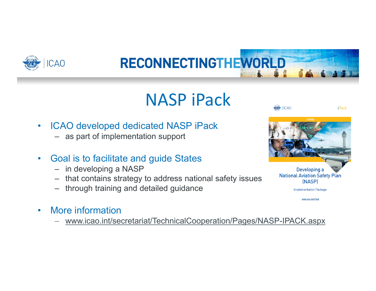

#### NASP iPack

- $\bullet$  ICAO developed dedicated NASP iPack
	- as part of implementation support
- $\bullet$  Goal is to facilitate and guide States
	- in developing a NASP
	- that contains strategy to address national safety issues
	- through training and detailed guidance
- • More information
	- www.icao.int/secretariat/TechnicalCooperation/Pages/NASP-IPACK.aspx



Developing a **National Aviation Safety Plan** (NASP)

**Implementation Package** 

www.icao.int/iPack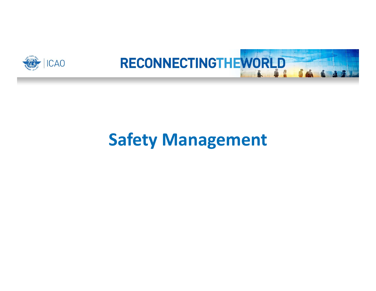



#### **Safety Management**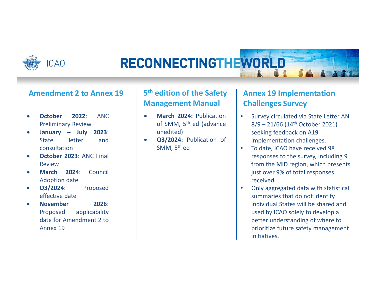

#### **Amendment 2 to Annex 19**

- $\bullet$  **October 2022**: ANC Preliminary Review
- $\bullet$  **January – July 2023**: State letter and consultation
- $\bullet$  **October 2023**: ANC Final Review
- $\bullet$  **March 2024**: Council Adoption date
- $\bullet$  **Q3/2024**: Proposed effective date
- $\bullet$  **November 2026**: Proposed applicability date for Amendment 2 to Annex 19

#### **5th edition of the Safety Management Manual**

- $\bullet$  **March 2024:** Publication of SMM, 5th ed (advance unedited)
- $\bullet$  **Q3/2024:** Publication of SMM, 5th ed

#### **Annex 19 Implementation Challenges Survey**

- • Survey circulated via State Letter AN 8/9 – 21/66 (14th October 2021) seeking feedback on A19 implementation challenges.
- • To date, ICAO have received 98 responses to the survey, including 9 from the MID region, which presents just over 9% of total responses received.
- • Only aggregated data with statistical summaries that do not identify individual States will be shared and used by ICAO solely to develop a better understanding of where to prioritize future safety management initiatives.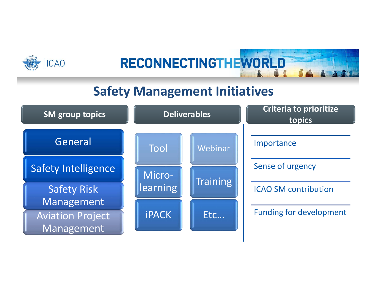



#### **Safety Management Initiatives**

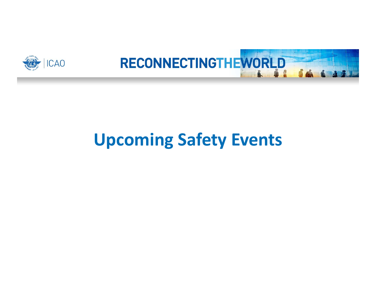



#### **Upcoming Safety Events**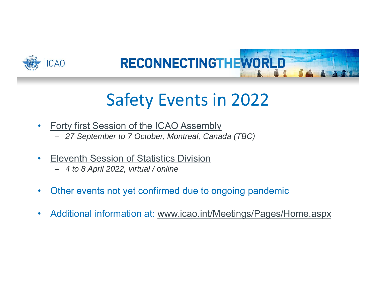



#### Safety Events in 2022

- $\bullet$  Forty first Session of the ICAO Assembly – *27 September to 7 October, Montreal, Canada (TBC)*
- $\bullet$  Eleventh Session of Statistics Division – *4 to 8 April 2022, virtual / online*
- $\bullet$ Other events not yet confirmed due to ongoing pandemic
- $\bullet$ Additional information at: www.icao.int/Meetings/Pages/Home.aspx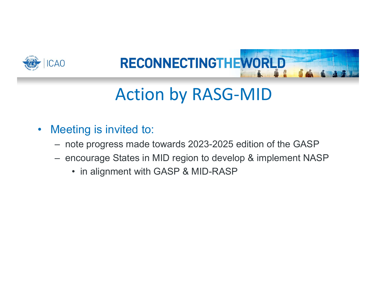



### Action by RASG‐MID

- $\bullet$  Meeting is invited to:
	- note progress made towards 2023-2025 edition of the GASP
	- encourage States in MID region to develop & implement NASP
		- in alignment with GASP & MID-RASP